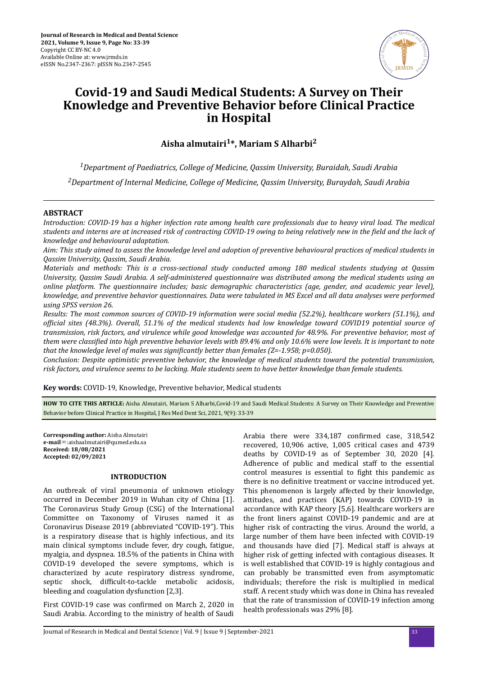

# **Covid-19 and Saudi Medical Students: A Survey on Their Knowledge and Preventive Behavior before Clinical Practice in Hospital**

**Aisha almutairi1\*, Mariam S Alharbi<sup>2</sup>**

*<sup>1</sup>Department of Paediatrics, College of Medicine, Qassim University, Buraidah, Saudi Arabia*

*<sup>2</sup>Department of Internal Medicine, College of Medicine, Qassim University, Buraydah, Saudi Arabia*

## **ABSTRACT**

*Introduction: COVID-19 has a higher infection rate among health care professionals due to heavy viral load. The medical students and interns are at increased risk of contracting COVID-19 owing to being relatively new in the field and the lack of knowledge and behavioural adaptation.*

*Aim: This study aimed to assess the knowledge level and adoption of preventive behavioural practices of medical students in Qassim University, Qassim, Saudi Arabia.*

*Materials and methods: This is a cross-sectional study conducted among 180 medical students studying at Qassim University, Qassim Saudi Arabia. A self-administered questionnaire was distributed among the medical students using an online platform. The questionnaire includes; basic demographic characteristics (age, gender, and academic year level), knowledge, and preventive behavior questionnaires. Data were tabulated in MS Excel and all data analyses were performed using SPSS version 26.*

*Results: The most common sources of COVID-19 information were social media (52.2%), healthcare workers (51.1%), and ofϔc sites (48.3%). Overall, 51.1% of the medical students had low knowledge toward COVID19 potential source of transmission, risk factors, and virulence while good knowledge was accounted for 48.9%. For preventive behavior, most of them were classified into high preventive behavior levels with 89.4% and only 10.6% were low levels. It is important to note that the knowledge level of males was significantly better than females (Z=-1.958; p=0.050).* 

*Conclusion: Despite optimistic preventive behavior, the knowledge of medical students toward the potential transmission, risk factors, and virulence seems to be lacking. Male students seem to have better knowledge than female students.*

**Key words:** COVID-19, Knowledge, Preventive behavior, Medical students

**HOW TO CITE THIS ARTICLE:** Aisha Almutairi, Mariam S Alharbi,Covid-19 and Saudi Medical Students: A Survey on Their Knowledge and Preventive Behavior before Clinical Practice in Hospital, J Res Med Dent Sci, 2021, 9(9): 33-39

**Corresponding author:** Aisha Almutairi **e-mail**✉:aishaalmutairi@qumed.edu.sa **Received: 18/08/2021 Accepted: 02/09/2021** 

#### **INTRODUCTION**

An outbreak of viral pneumonia of unknown etiology occurred in December 2019 in Wuhan city of China [1]. The Coronavirus Study Group (CSG) of the International Committee on Taxonomy of Viruses named it as Coronavirus Disease 2019 (abbreviated "COVID-19"). This is a respiratory disease that is highly infectious, and its main clinical symptoms include fever, dry cough, fatigue, myalgia, and dyspnea. 18.5% of the patients in China with COVID-19 developed the severe symptoms, which is characterized by acute respiratory distress syndrome, septic shock, difficult-to-tackle metabolic acidosis, bleeding and coagulation dysfunction [2,3].

First COVID-19 case was confirmed on March 2, 2020 in Saudi Arabia. According to the ministry of health of Saudi Arabia there were 334,187 confirmed case, 318,542 recovered, 10,906 active, 1,005 critical cases and 4739 deaths by COVID-19 as of September 30, 2020 [4]. Adherence of public and medical staff to the essential control measures is essential to fight this pandemic as there is no definitive treatment or vaccine introduced vet. This phenomenon is largely affected by their knowledge, attitudes, and practices (KAP) towards COVID-19 in accordance with KAP theory [5,6]. Healthcare workers are the front liners against COVID-19 pandemic and are at higher risk of contracting the virus. Around the world, a large number of them have been infected with COVID-19 and thousands have died [7]. Medical staff is always at higher risk of getting infected with contagious diseases. It is well established that COVID-19 is highly contagious and can probably be transmitted even from asymptomatic individuals; therefore the risk is multiplied in medical staff. A recent study which was done in China has revealed that the rate of transmission of COVID-19 infection among health professionals was 29% [8].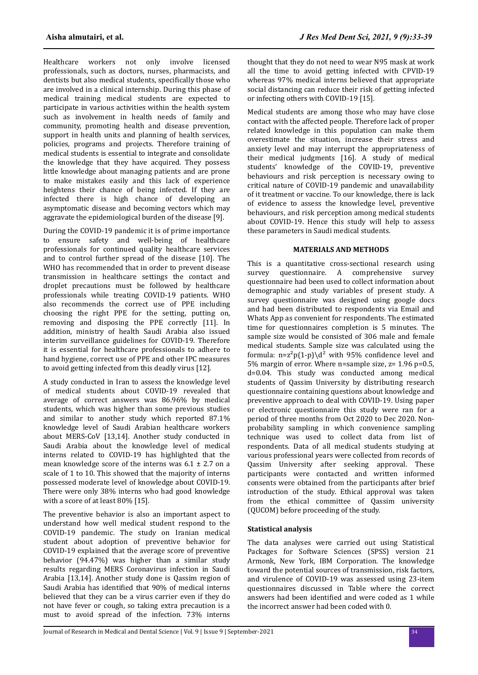Healthcare workers not only involve licensed professionals, such as doctors, nurses, pharmacists, and dentists but also medical students, specifically those who are involved in a clinical internship. During this phase of medical training medical students are expected to participate in various activities within the health system such as involvement in health needs of family and community, promoting health and disease prevention, support in health units and planning of health services, policies, programs and projects. Therefore training of medical students is essential to integrate and consolidate the knowledge that they have acquired. They possess little knowledge about managing patients and are prone to make mistakes easily and this lack of experience heightens their chance of being infected. If they are infected there is high chance of developing an asymptomatic disease and becoming vectors which may aggravate the epidemiological burden of the disease [9].

During the COVID-19 pandemic it is of prime importance to ensure safety and well-being of healthcare professionals for continued quality healthcare services and to control further spread of the disease [10]. The WHO has recommended that in order to prevent disease transmission in healthcare settings the contact and droplet precautions must be followed by healthcare professionals while treating COVID-19 patients. WHO also recommends the correct use of PPE including choosing the right PPE for the setting, putting on, removing and disposing the PPE correctly [11]. In addition, ministry of health Saudi Arabia also issued interim surveillance guidelines for COVID-19. Therefore it is essential for healthcare professionals to adhere to hand hygiene, correct use of PPE and other IPC measures to avoid getting infected from this deadly virus [12].

A study conducted in Iran to assess the knowledge level of medical students about COVID-19 revealed that average of correct answers was 86.96% by medical students, which was higher than some previous studies and similar to another study which reported 87.1% knowledge level of Saudi Arabian healthcare workers about MERS-CoV [13,14]. Another study conducted in Saudi Arabia about the knowledge level of medical interns related to COVID-19 has highlighted that the mean knowledge score of the interns was 6.1 ± 2.7 on a scale of 1 to 10. This showed that the majority of interns possessed moderate level of knowledge about COVID-19. There were only 38% interns who had good knowledge with a score of at least 80% [15].

The preventive behavior is also an important aspect to understand how well medical student respond to the COVID-19 pandemic. The study on Iranian medical student about adoption of preventive behavior for COVID-19 explained that the average score of preventive behavior (94.47%) was higher than a similar study results regarding MERS Coronavirus infection in Saudi Arabia [13,14]. Another study done is Qassim region of Saudi Arabia has identified that 90% of medical interns believed that they can be a virus carrier even if they do not have fever or cough, so taking extra precaution is a must to avoid spread of the infection. 73% interns

thought that they do not need to wear N95 mask at work all the time to avoid getting infected with CPVID-19 whereas 97% medical interns believed that appropriate social distancing can reduce their risk of getting infected or infecting others with COVID-19 [15].

Medical students are among those who may have close contact with the affected people. Therefore lack of proper related knowledge in this population can make them overestimate the situation, increase their stress and anxiety level and may interrupt the appropriateness of their medical judgments [16]. A study of medical students' knowledge of the COVID-19, preventive behaviours and risk perception is necessary owing to critical nature of COVID-19 pandemic and unavailability of it treatment or vaccine. To our knowledge, there is lack of evidence to assess the knowledge level, preventive behaviours, and risk perception among medical students about COVID-19. Hence this study will help to assess these parameters in Saudi medical students.

## **MATERIALS AND METHODS**

This is a quantitative cross-sectional research using survey questionnaire. A comprehensive survey questionnaire had been used to collect information about demographic and study variables of present study. A survey questionnaire was designed using google docs and had been distributed to respondents via Email and Whats App as convenient for respondents. The estimated time for questionnaires completion is 5 minutes. The sample size would be consisted of 306 male and female medical students. Sample size was calculated using the formula:  $n = z^2p(1-p)\d^2$  with 95% confidence level and 5% margin of error. Where n=sample size, z= 1.96 p=0.5, d=0.04. This study was conducted among medical students of Qassim University by distributing research questionnaire containing questions about knowledge and preventive approach to deal with COVID-19. Using paper or electronic questionnaire this study were ran for a period of three months from Oct 2020 to Dec 2020. Nonprobability sampling in which convenience sampling technique was used to collect data from list of respondents. Data of all medical students studying at various professional years were collected from records of Qassim University after seeking approval. These participants were contacted and written informed consents were obtained from the participants after brief introduction of the study. Ethical approval was taken from the ethical committee of Qassim university (QUCOM) before proceeding of the study.

## **Statistical analysis**

The data analyses were carried out using Statistical Packages for Software Sciences (SPSS) version 21 Armonk, New York, IBM Corporation. The knowledge toward the potential sources of transmission, risk factors, and virulence of COVID-19 was assessed using 23-item questionnaires discussed in Table where the correct answers had been identified and were coded as 1 while the incorrect answer had been coded with 0.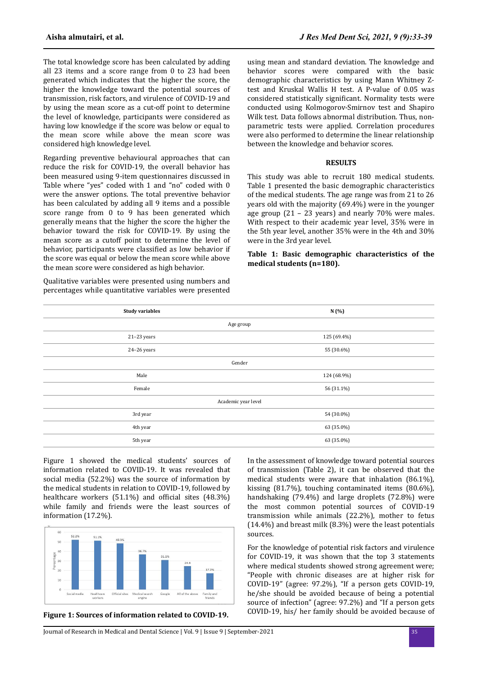The total knowledge score has been calculated by adding all 23 items and a score range from 0 to 23 had been generated which indicates that the higher the score, the higher the knowledge toward the potential sources of transmission, risk factors, and virulence of COVID-19 and by using the mean score as a cut-off point to determine the level of knowledge, participants were considered as having low knowledge if the score was below or equal to the mean score while above the mean score was considered high knowledge level.

Regarding preventive behavioural approaches that can reduce the risk for COVID-19, the overall behavior has been measured using 9-item questionnaires discussed in Table where "yes" coded with 1 and "no" coded with 0 were the answer options. The total preventive behavior has been calculated by adding all 9 items and a possible score range from 0 to 9 has been generated which generally means that the higher the score the higher the behavior toward the risk for COVID-19. By using the mean score as a cutoff point to determine the level of behavior, participants were classified as low behavior if the score was equal or below the mean score while above the mean score were considered as high behavior.

Qualitative variables were presented using numbers and percentages while quantitative variables were presented using mean and standard deviation. The knowledge and behavior scores were compared with the basic demographic characteristics by using Mann Whitney Ztest and Kruskal Wallis H test. A P-value of 0.05 was considered statistically significant. Normality tests were conducted using Kolmogorov-Smirnov test and Shapiro Wilk test. Data follows abnormal distribution. Thus, nonparametric tests were applied. Correlation procedures were also performed to determine the linear relationship between the knowledge and behavior scores.

#### **RESULTS**

This study was able to recruit 180 medical students. Table 1 presented the basic demographic characteristics of the medical students. The age range was from 21 to 26 years old with the majority (69.4%) were in the younger age group (21 – 23 years) and nearly 70% were males. With respect to their academic year level, 35% were in the 5th year level, another 35% were in the 4th and 30% were in the 3rd year level.

**Table 1: Basic demographic characteristics of the medical students (n=180).**

| <b>Study variables</b> | N (%)       |  |  |
|------------------------|-------------|--|--|
| Age group              |             |  |  |
| $21-23$ years          | 125 (69.4%) |  |  |
| $24-26$ years          | 55 (30.6%)  |  |  |
| Gender                 |             |  |  |
| Male                   | 124 (68.9%) |  |  |
| Female                 | 56 (31.1%)  |  |  |
| Academic year level    |             |  |  |
| 3rd year               | 54 (30.0%)  |  |  |
| 4th year               | 63 (35.0%)  |  |  |
| 5th year               | 63 (35.0%)  |  |  |
|                        |             |  |  |

Figure 1 showed the medical students' sources of information related to COVID-19. It was revealed that social media (52.2%) was the source of information by the medical students in relation to COVID-19, followed by healthcare workers  $(51.1\%)$  and official sites  $(48.3\%)$ while family and friends were the least sources of information (17.2%).



**Figure 1: Sources of information related to COVID-19.**

In the assessment of knowledge toward potential sources of transmission (Table 2), it can be observed that the medical students were aware that inhalation (86.1%), kissing (81.7%), touching contaminated items (80.6%), handshaking (79.4%) and large droplets (72.8%) were the most common potential sources of COVID-19 transmission while animals (22.2%), mother to fetus (14.4%) and breast milk (8.3%) were the least potentials sources.

For the knowledge of potential risk factors and virulence for COVID-19, it was shown that the top 3 statements where medical students showed strong agreement were; "People with chronic diseases are at higher risk for COVID-19" (agree: 97.2%), "If a person gets COVID-19, he/she should be avoided because of being a potential source of infection" (agree: 97.2%) and "If a person gets COVID-19, his/ her family should be avoided because of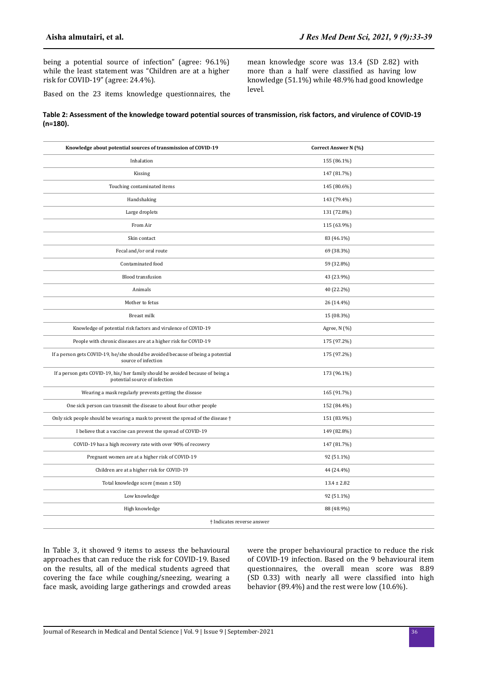being a potential source of infection" (agree: 96.1%) while the least statement was "Children are at a higher risk for COVID-19" (agree: 24.4%).

mean knowledge score was 13.4 (SD 2.82) with more than a half were classified as having low knowledge (51.1%) while 48.9% had good knowledge level.

Based on the 23 items knowledge questionnaires, the

## **Table 2: Assessment of the knowledge toward potential sources of transmission, risk factors, and virulence of COVID-19 (n=180).**

| Knowledge about potential sources of transmission of COVID-19                                                   | Correct Answer N (%) |  |  |  |
|-----------------------------------------------------------------------------------------------------------------|----------------------|--|--|--|
| Inhalation                                                                                                      | 155 (86.1%)          |  |  |  |
| Kissing                                                                                                         | 147 (81.7%)          |  |  |  |
| Touching contaminated items                                                                                     | 145 (80.6%)          |  |  |  |
| Handshaking                                                                                                     | 143 (79.4%)          |  |  |  |
| Large droplets                                                                                                  | 131 (72.8%)          |  |  |  |
| From Air                                                                                                        | 115 (63.9%)          |  |  |  |
| Skin contact                                                                                                    | 83 (46.1%)           |  |  |  |
| Fecal and/or oral route                                                                                         | 69 (38.3%)           |  |  |  |
| Contaminated food                                                                                               | 59 (32.8%)           |  |  |  |
| <b>Blood transfusion</b>                                                                                        | 43 (23.9%)           |  |  |  |
| Animals                                                                                                         | 40 (22.2%)           |  |  |  |
| Mother to fetus                                                                                                 | 26 (14.4%)           |  |  |  |
| <b>Breast milk</b>                                                                                              | 15 (08.3%)           |  |  |  |
| Knowledge of potential risk factors and virulence of COVID-19                                                   | Agree, N (%)         |  |  |  |
| People with chronic diseases are at a higher risk for COVID-19                                                  | 175 (97.2%)          |  |  |  |
| If a person gets COVID-19, he/she should be avoided because of being a potential<br>source of infection         | 175 (97.2%)          |  |  |  |
| If a person gets COVID-19, his/her family should be avoided because of being a<br>potential source of infection | 173 (96.1%)          |  |  |  |
| Wearing a mask regularly prevents getting the disease                                                           | 165 (91.7%)          |  |  |  |
| One sick person can transmit the disease to about four other people                                             | 152 (84.4%)          |  |  |  |
| Only sick people should be wearing a mask to prevent the spread of the disease $\dagger$                        | 151 (83.9%)          |  |  |  |
| I believe that a vaccine can prevent the spread of COVID-19                                                     | 149 (82.8%)          |  |  |  |
| COVID-19 has a high recovery rate with over 90% of recovery                                                     | 147 (81.7%)          |  |  |  |
| Pregnant women are at a higher risk of COVID-19                                                                 | 92 (51.1%)           |  |  |  |
| Children are at a higher risk for COVID-19                                                                      | 44 (24.4%)           |  |  |  |
| Total knowledge score (mean ± SD)                                                                               | $13.4 \pm 2.82$      |  |  |  |
| Low knowledge                                                                                                   | 92 (51.1%)           |  |  |  |
| High knowledge                                                                                                  | 88 (48.9%)           |  |  |  |
| † Indicates reverse answer                                                                                      |                      |  |  |  |

In Table 3, it showed 9 items to assess the behavioural approaches that can reduce the risk for COVID-19. Based on the results, all of the medical students agreed that covering the face while coughing/sneezing, wearing a face mask, avoiding large gatherings and crowded areas were the proper behavioural practice to reduce the risk of COVID-19 infection. Based on the 9 behavioural item questionnaires, the overall mean score was 8.89 (SD 0.33) with nearly all were classified into high behavior (89.4%) and the rest were low (10.6%).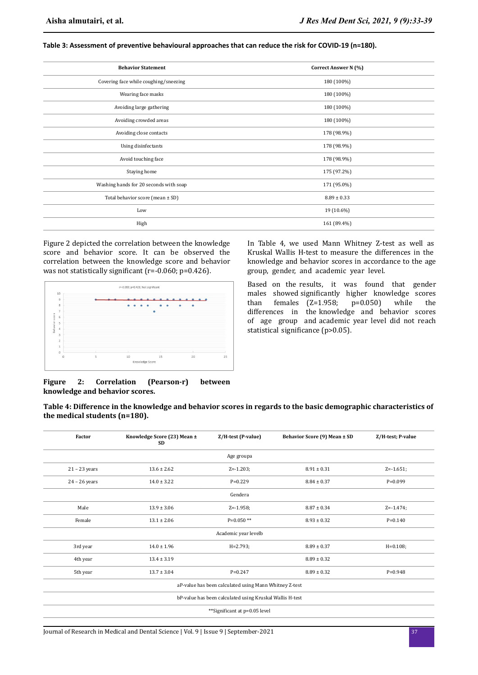| <b>Behavior Statement</b>              | Correct Answer N (%) |
|----------------------------------------|----------------------|
| Covering face while coughing/sneezing  | 180 (100%)           |
| Wearing face masks                     | 180 (100%)           |
| Avoiding large gathering               | 180 (100%)           |
| Avoiding crowded areas                 | 180 (100%)           |
| Avoiding close contacts                | 178 (98.9%)          |
| Using disinfectants                    | 178 (98.9%)          |
| Avoid touching face                    | 178 (98.9%)          |
| Staying home                           | 175 (97.2%)          |
| Washing hands for 20 seconds with soap | 171 (95.0%)          |
| Total behavior score (mean ± SD)       | $8.89 \pm 0.33$      |
| Low                                    | 19 (10.6%)           |
| High                                   | 161 (89.4%)          |

**Table 3: Assessment of preventive behavioural approaches that can reduce the risk for COVID-19 (n=180).**

Figure 2 depicted the correlation between the knowledge score and behavior score. It can be observed the correlation between the knowledge score and behavior was not statistically significant (r=-0.060; p=0.426).



knowledge and behavior scores in accordance to the age group, gender, and academic year level. Based on the results, it was found that gender

In Table 4, we used Mann Whitney Z-test as well as Kruskal Wallis H-test to measure the differences in the

males showed significantly higher knowledge scores than females  $(Z=1.958; p=0.050)$  while the differences in the knowledge and behavior scores of age group and academic year level did not reach statistical significance (p>0.05).

### **Figure 2: Correlation (Pearson-r) between knowledge and behavior scores.**

**Table 4: Difference in the knowledge and behavior scores in regards to the basic demographic characteristics of the medical students (n=180).**

| Factor                                                   | Knowledge Score (23) Mean ±<br><b>SD</b> | Z/H-test (P-value) | Behavior Score (9) Mean ± SD | Z/H-test; P-value |  |
|----------------------------------------------------------|------------------------------------------|--------------------|------------------------------|-------------------|--|
| Age groupa                                               |                                          |                    |                              |                   |  |
| $21 - 23$ years                                          | $13.6 \pm 2.62$                          | $Z = -1.203$ ;     | $8.91 \pm 0.31$              | $Z = -1.651;$     |  |
| $24 - 26$ years                                          | $14.0 \pm 3.22$                          | $P=0.229$          | $8.84 \pm 0.37$              | $P=0.099$         |  |
|                                                          |                                          | Gendera            |                              |                   |  |
| Male                                                     | $13.9 \pm 3.06$                          | $Z = -1.958$ ;     | $8.87 \pm 0.34$              | $Z = -1.474;$     |  |
| Female                                                   | $13.1 \pm 2.06$                          | $P=0.050**$        | $8.93 \pm 0.32$              | $P = 0.140$       |  |
| Academic year levelb                                     |                                          |                    |                              |                   |  |
| 3rd year                                                 | $14.0 \pm 1.96$                          | $H = 2.793;$       | $8.89 \pm 0.37$              | $H = 0.108;$      |  |
| 4th year                                                 | $13.4 \pm 3.19$                          |                    | $8.89 \pm 0.32$              |                   |  |
| 5th year                                                 | $13.7 \pm 3.04$                          | $P = 0.247$        | $8.89 \pm 0.32$              | $P=0.948$         |  |
| aP-value has been calculated using Mann Whitney Z-test   |                                          |                    |                              |                   |  |
| bP-value has been calculated using Kruskal Wallis H-test |                                          |                    |                              |                   |  |
| **Significant at p=0.05 level                            |                                          |                    |                              |                   |  |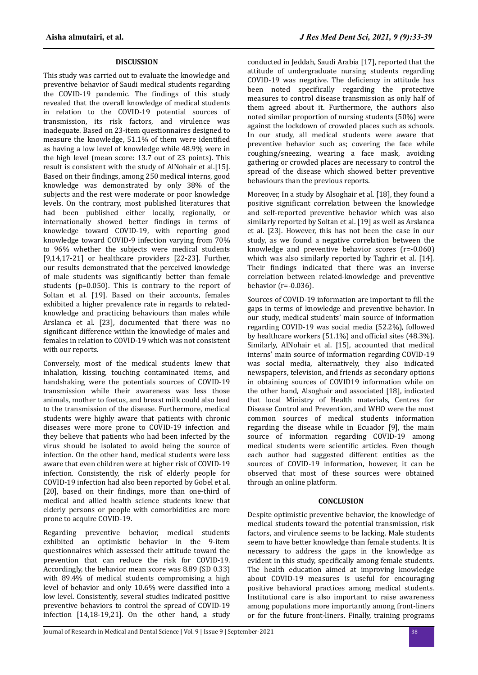## **DISCUSSION**

This study was carried out to evaluate the knowledge and preventive behavior of Saudi medical students regarding the COVID-19 pandemic. The findings of this study revealed that the overall knowledge of medical students in relation to the COVID-19 potential sources of transmission, its risk factors, and virulence was inadequate. Based on 23-item questionnaires designed to measure the knowledge, 51.1% of them were identified as having a low level of knowledge while 48.9% were in the high level (mean score: 13.7 out of 23 points). This result is consistent with the study of AlNohair et al.[15]. Based on their findings, among 250 medical interns, good knowledge was demonstrated by only 38% of the subjects and the rest were moderate or poor knowledge levels. On the contrary, most published literatures that had been published either locally, regionally, or internationally showed better findings in terms of knowledge toward COVID-19, with reporting good knowledge toward COVID-9 infection varying from 70% to 96% whether the subjects were medical students [9,14,17-21] or healthcare providers [22-23]. Further, our results demonstrated that the perceived knowledge of male students was significantly better than female students (p=0.050). This is contrary to the report of Soltan et al. [19]. Based on their accounts, females exhibited a higher prevalence rate in regards to relatedknowledge and practicing behaviours than males while Arslanca et al. [23], documented that there was no significant difference within the knowledge of males and females in relation to COVID-19 which was not consistent with our reports.

Conversely, most of the medical students knew that inhalation, kissing, touching contaminated items, and handshaking were the potentials sources of COVID-19 transmission while their awareness was less those animals, mother to foetus, and breast milk could also lead to the transmission of the disease. Furthermore, medical students were highly aware that patients with chronic diseases were more prone to COVID-19 infection and they believe that patients who had been infected by the virus should be isolated to avoid being the source of infection. On the other hand, medical students were less aware that even children were at higher risk of COVID-19 infection. Consistently, the risk of elderly people for COVID-19 infection had also been reported by Gobel et al. [20], based on their findings, more than one-third of medical and allied health science students knew that elderly persons or people with comorbidities are more prone to acquire COVID-19.

Regarding preventive behavior, medical students exhibited an optimistic behavior in the 9-item questionnaires which assessed their attitude toward the prevention that can reduce the risk for COVID-19. Accordingly, the behavior mean score was 8.89 (SD 0.33) with 89.4% of medical students compromising a high level of behavior and only 10.6% were classified into a low level. Consistently, several studies indicated positive preventive behaviors to control the spread of COVID-19 infection [14,18-19,21]. On the other hand, a study

conducted in Jeddah, Saudi Arabia [17], reported that the attitude of undergraduate nursing students regarding COVID-19 was negative. The deficiency in attitude has been noted specifically regarding the protective measures to control disease transmission as only half of them agreed about it. Furthermore, the authors also noted similar proportion of nursing students (50%) were against the lockdown of crowded places such as schools. In our study, all medical students were aware that preventive behavior such as; covering the face while coughing/sneezing, wearing a face mask, avoiding gathering or crowded places are necessary to control the spread of the disease which showed better preventive behaviours than the previous reports.

Moreover, In a study by Alsoghair et al. [18], they found a positive significant correlation between the knowledge and self-reported preventive behavior which was also similarly reported by Soltan et al. [19] as well as Arslanca et al. [23]. However, this has not been the case in our study, as we found a negative correlation between the knowledge and preventive behavior scores (r=-0.060) which was also similarly reported by Taghrir et al. [14]. Their findings indicated that there was an inverse correlation between related-knowledge and preventive behavior (r=-0.036).

Sources of COVID-19 information are important to fill the gaps in terms of knowledge and preventive behavior. In our study, medical students' main source of information regarding COVID-19 was social media (52.2%), followed by healthcare workers (51.1%) and official sites (48.3%). Similarly, AlNohair et al. [15], accounted that medical interns' main source of information regarding COVID-19 was social media, alternatively, they also indicated newspapers, television, and friends as secondary options in obtaining sources of COVID19 information while on the other hand, Alsoghair and associated [18], indicated that local Ministry of Health materials, Centres for Disease Control and Prevention, and WHO were the most common sources of medical students information regarding the disease while in Ecuador [9], the main source of information regarding COVID-19 among medical students were scientific articles. Even though each author had suggested different entities as the sources of COVID-19 information, however, it can be observed that most of these sources were obtained through an online platform.

### **CONCLUSION**

Despite optimistic preventive behavior, the knowledge of medical students toward the potential transmission, risk factors, and virulence seems to be lacking. Male students seem to have better knowledge than female students. It is necessary to address the gaps in the knowledge as evident in this study, specifically among female students. The health education aimed at improving knowledge about COVID-19 measures is useful for encouraging positive behavioral practices among medical students. Institutional care is also important to raise awareness among populations more importantly among front-liners or for the future front-liners. Finally, training programs